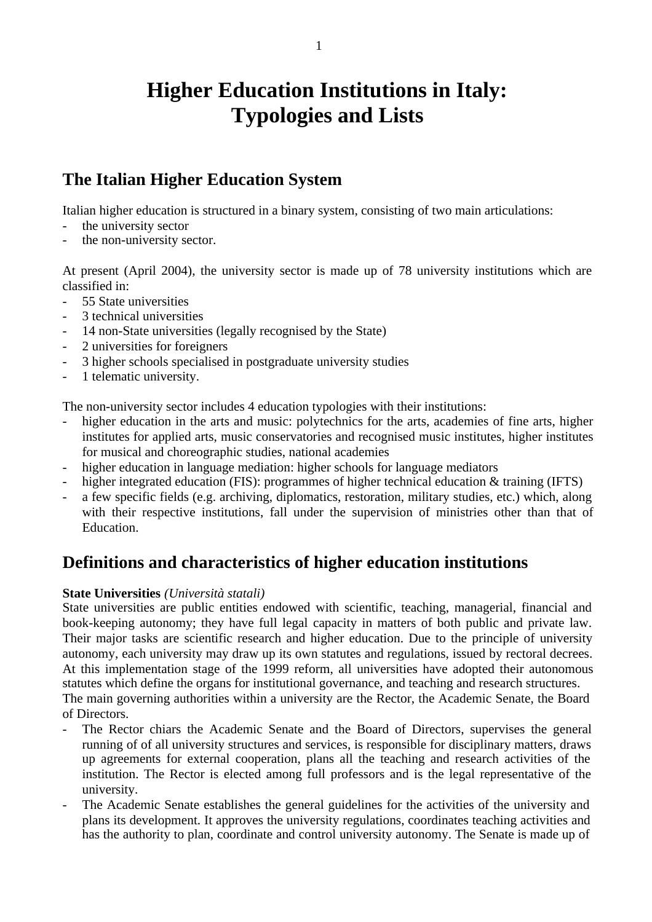# **Higher Education Institutions in Italy: Typologies and Lists**

# **The Italian Higher Education System**

Italian higher education is structured in a binary system, consisting of two main articulations:

- the university sector
- the non-university sector.

At present (April 2004), the university sector is made up of 78 university institutions which are classified in:

- 55 State universities
- 3 technical universities
- 14 non-State universities (legally recognised by the State)
- 2 universities for foreigners
- 3 higher schools specialised in postgraduate university studies
- 1 telematic university.

The non-university sector includes 4 education typologies with their institutions:

- higher education in the arts and music: polytechnics for the arts, academies of fine arts, higher institutes for applied arts, music conservatories and recognised music institutes, higher institutes for musical and choreographic studies, national academies
- higher education in language mediation: higher schools for language mediators
- higher integrated education (FIS): programmes of higher technical education & training (IFTS)
- a few specific fields (e.g. archiving, diplomatics, restoration, military studies, etc.) which, along with their respective institutions, fall under the supervision of ministries other than that of Education.

# **Definitions and characteristics of higher education institutions**

#### **State Universities** *(Università statali)*

State universities are public entities endowed with scientific, teaching, managerial, financial and book-keeping autonomy; they have full legal capacity in matters of both public and private law. Their major tasks are scientific research and higher education. Due to the principle of university autonomy, each university may draw up its own statutes and regulations, issued by rectoral decrees. At this implementation stage of the 1999 reform, all universities have adopted their autonomous statutes which define the organs for institutional governance, and teaching and research structures.

The main governing authorities within a university are the Rector, the Academic Senate, the Board of Directors.

- The Rector chiars the Academic Senate and the Board of Directors, supervises the general running of of all university structures and services, is responsible for disciplinary matters, draws up agreements for external cooperation, plans all the teaching and research activities of the institution. The Rector is elected among full professors and is the legal representative of the university.
- The Academic Senate establishes the general guidelines for the activities of the university and plans its development. It approves the university regulations, coordinates teaching activities and has the authority to plan, coordinate and control university autonomy. The Senate is made up of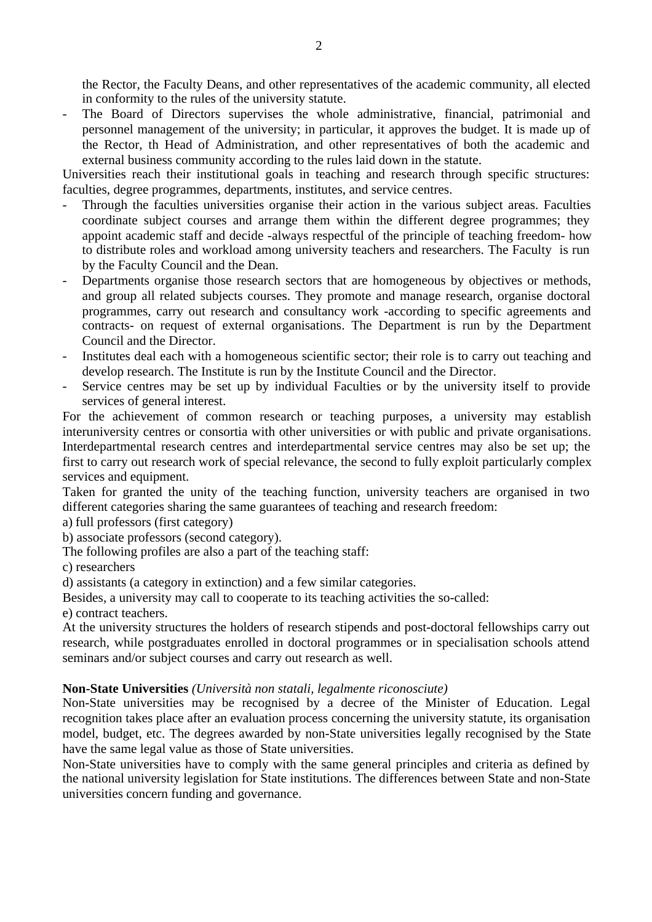the Rector, the Faculty Deans, and other representatives of the academic community, all elected in conformity to the rules of the university statute.

- The Board of Directors supervises the whole administrative, financial, patrimonial and personnel management of the university; in particular, it approves the budget. It is made up of the Rector, th Head of Administration, and other representatives of both the academic and external business community according to the rules laid down in the statute.

Universities reach their institutional goals in teaching and research through specific structures: faculties, degree programmes, departments, institutes, and service centres.

- Through the faculties universities organise their action in the various subject areas. Faculties coordinate subject courses and arrange them within the different degree programmes; they appoint academic staff and decide -always respectful of the principle of teaching freedom- how to distribute roles and workload among university teachers and researchers. The Faculty is run by the Faculty Council and the Dean.
- Departments organise those research sectors that are homogeneous by objectives or methods, and group all related subjects courses. They promote and manage research, organise doctoral programmes, carry out research and consultancy work -according to specific agreements and contracts- on request of external organisations. The Department is run by the Department Council and the Director.
- Institutes deal each with a homogeneous scientific sector; their role is to carry out teaching and develop research. The Institute is run by the Institute Council and the Director.
- Service centres may be set up by individual Faculties or by the university itself to provide services of general interest.

For the achievement of common research or teaching purposes, a university may establish interuniversity centres or consortia with other universities or with public and private organisations. Interdepartmental research centres and interdepartmental service centres may also be set up; the first to carry out research work of special relevance, the second to fully exploit particularly complex services and equipment.

Taken for granted the unity of the teaching function, university teachers are organised in two different categories sharing the same guarantees of teaching and research freedom:

- a) full professors (first category)
- b) associate professors (second category).
- The following profiles are also a part of the teaching staff:

c) researchers

d) assistants (a category in extinction) and a few similar categories.

Besides, a university may call to cooperate to its teaching activities the so-called:

e) contract teachers.

At the university structures the holders of research stipends and post-doctoral fellowships carry out research, while postgraduates enrolled in doctoral programmes or in specialisation schools attend seminars and/or subject courses and carry out research as well.

#### **Non-State Universities** *(Università non statali, legalmente riconosciute)*

Non-State universities may be recognised by a decree of the Minister of Education. Legal recognition takes place after an evaluation process concerning the university statute, its organisation model, budget, etc. The degrees awarded by non-State universities legally recognised by the State have the same legal value as those of State universities.

Non-State universities have to comply with the same general principles and criteria as defined by the national university legislation for State institutions. The differences between State and non-State universities concern funding and governance.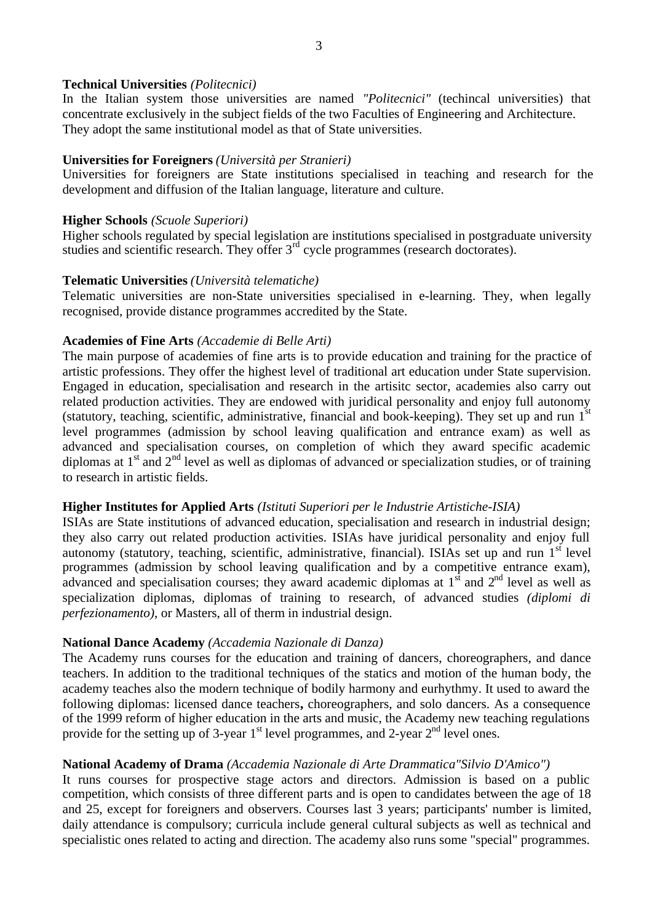#### **Technical Universities** *(Politecnici)*

In the Italian system those universities are named *"Politecnici"* (techincal universities) that concentrate exclusively in the subject fields of the two Faculties of Engineering and Architecture. They adopt the same institutional model as that of State universities.

# **Universities for Foreigners** *(Università per Stranieri)*

Universities for foreigners are State institutions specialised in teaching and research for the development and diffusion of the Italian language, literature and culture.

# **Higher Schools** *(Scuole Superiori)*

Higher schools regulated by special legislation are institutions specialised in postgraduate university studies and scientific research. They offer 3<sup>rd</sup> cycle programmes (research doctorates).

#### **Telematic Universities** *(Università telematiche)*

Telematic universities are non-State universities specialised in e-learning. They, when legally recognised, provide distance programmes accredited by the State.

# **Academies of Fine Arts** *(Accademie di Belle Arti)*

The main purpose of academies of fine arts is to provide education and training for the practice of artistic professions. They offer the highest level of traditional art education under State supervision. Engaged in education, specialisation and research in the artisitc sector, academies also carry out related production activities. They are endowed with juridical personality and enjoy full autonomy (statutory, teaching, scientific, administrative, financial and book-keeping). They set up and run  $1<sup>st</sup>$ level programmes (admission by school leaving qualification and entrance exam) as well as advanced and specialisation courses, on completion of which they award specific academic diplomas at  $1<sup>st</sup>$  and  $2<sup>nd</sup>$  level as well as diplomas of advanced or specialization studies, or of training to research in artistic fields.

#### **Higher Institutes for Applied Arts** *(Istituti Superiori per le Industrie Artistiche-ISIA)*

ISIAs are State institutions of advanced education, specialisation and research in industrial design; they also carry out related production activities. ISIAs have juridical personality and enjoy full autonomy (statutory, teaching, scientific, administrative, financial). ISIAs set up and run  $1<sup>st</sup>$  level programmes (admission by school leaving qualification and by a competitive entrance exam), advanced and specialisation courses; they award academic diplomas at  $1<sup>st</sup>$  and  $2<sup>nd</sup>$  level as well as specialization diplomas, diplomas of training to research, of advanced studies *(diplomi di perfezionamento)*, or Masters, all of therm in industrial design.

# **National Dance Academy** *(Accademia Nazionale di Danza)*

The Academy runs courses for the education and training of dancers, choreographers, and dance teachers. In addition to the traditional techniques of the statics and motion of the human body, the academy teaches also the modern technique of bodily harmony and eurhythmy. It used to award the following diplomas: licensed dance teachers**,** choreographers, and solo dancers. As a consequence of the 1999 reform of higher education in the arts and music, the Academy new teaching regulations provide for the setting up of 3-year  $1<sup>st</sup>$  level programmes, and 2-year  $2<sup>nd</sup>$  level ones.

# **National Academy of Drama** *(Accademia Nazionale di Arte Drammatica"Silvio D'Amico")*

It runs courses for prospective stage actors and directors. Admission is based on a public competition, which consists of three different parts and is open to candidates between the age of 18 and 25, except for foreigners and observers. Courses last 3 years; participants' number is limited, daily attendance is compulsory; curricula include general cultural subjects as well as technical and specialistic ones related to acting and direction. The academy also runs some "special" programmes.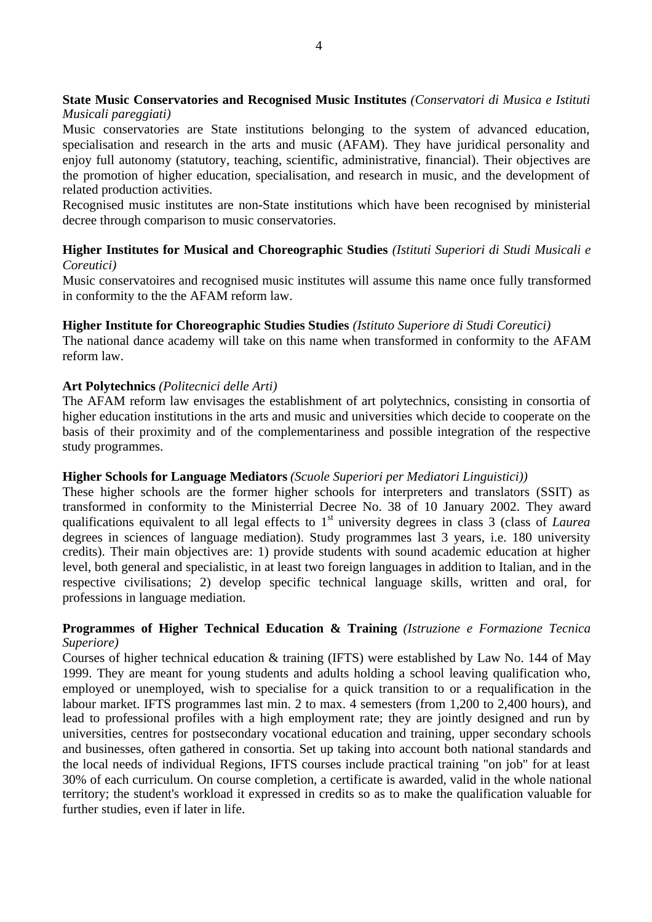# **State Music Conservatories and Recognised Music Institutes** *(Conservatori di Musica e Istituti Musicali pareggiati)*

Music conservatories are State institutions belonging to the system of advanced education, specialisation and research in the arts and music (AFAM). They have juridical personality and enjoy full autonomy (statutory, teaching, scientific, administrative, financial). Their objectives are the promotion of higher education, specialisation, and research in music, and the development of related production activities.

Recognised music institutes are non-State institutions which have been recognised by ministerial decree through comparison to music conservatories.

# **Higher Institutes for Musical and Choreographic Studies** *(Istituti Superiori di Studi Musicali e Coreutici)*

Music conservatoires and recognised music institutes will assume this name once fully transformed in conformity to the the AFAM reform law.

# **Higher Institute for Choreographic Studies Studies** *(Istituto Superiore di Studi Coreutici)*

The national dance academy will take on this name when transformed in conformity to the AFAM reform law.

# **Art Polytechnics** *(Politecnici delle Arti)*

The AFAM reform law envisages the establishment of art polytechnics, consisting in consortia of higher education institutions in the arts and music and universities which decide to cooperate on the basis of their proximity and of the complementariness and possible integration of the respective study programmes.

#### **Higher Schools for Language Mediators** *(Scuole Superiori per Mediatori Linguistici))*

These higher schools are the former higher schools for interpreters and translators (SSIT) as transformed in conformity to the Ministerrial Decree No. 38 of 10 January 2002. They award qualifications equivalent to all legal effects to 1<sup>st</sup> university degrees in class 3 (class of *Laurea* degrees in sciences of language mediation). Study programmes last 3 years, i.e. 180 university credits). Their main objectives are: 1) provide students with sound academic education at higher level, both general and specialistic, in at least two foreign languages in addition to Italian, and in the respective civilisations; 2) develop specific technical language skills, written and oral, for professions in language mediation.

# **Programmes of Higher Technical Education & Training** *(Istruzione e Formazione Tecnica Superiore)*

Courses of higher technical education & training (IFTS) were established by Law No. 144 of May 1999. They are meant for young students and adults holding a school leaving qualification who, employed or unemployed, wish to specialise for a quick transition to or a requalification in the labour market. IFTS programmes last min. 2 to max. 4 semesters (from 1,200 to 2,400 hours), and lead to professional profiles with a high employment rate; they are jointly designed and run by universities, centres for postsecondary vocational education and training, upper secondary schools and businesses, often gathered in consortia. Set up taking into account both national standards and the local needs of individual Regions, IFTS courses include practical training "on job" for at least 30% of each curriculum. On course completion, a certificate is awarded, valid in the whole national territory; the student's workload it expressed in credits so as to make the qualification valuable for further studies, even if later in life.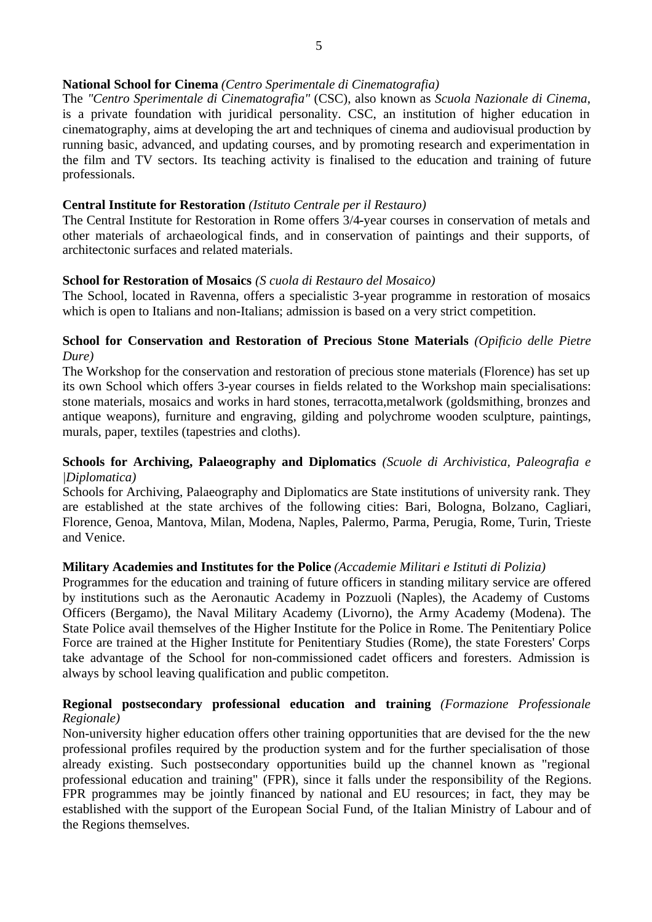# **National School for Cinema** *(Centro Sperimentale di Cinematografia)*

The *"Centro Sperimentale di Cinematografia"* (CSC), also known as *Scuola Nazionale di Cinema*, is a private foundation with juridical personality. CSC, an institution of higher education in cinematography, aims at developing the art and techniques of cinema and audiovisual production by running basic, advanced, and updating courses, and by promoting research and experimentation in the film and TV sectors. Its teaching activity is finalised to the education and training of future professionals.

# **Central Institute for Restoration** *(Istituto Centrale per il Restauro)*

The Central Institute for Restoration in Rome offers 3/4**-**year courses in conservation of metals and other materials of archaeological finds, and in conservation of paintings and their supports, of architectonic surfaces and related materials.

# **School for Restoration of Mosaics** *(S cuola di Restauro del Mosaico)*

The School, located in Ravenna, offers a specialistic 3-year programme in restoration of mosaics which is open to Italians and non-Italians; admission is based on a very strict competition.

# **School for Conservation and Restoration of Precious Stone Materials** *(Opificio delle Pietre Dure)*

The Workshop for the conservation and restoration of precious stone materials (Florence) has set up its own School which offers 3-year courses in fields related to the Workshop main specialisations: stone materials, mosaics and works in hard stones, terracotta,metalwork (goldsmithing, bronzes and antique weapons), furniture and engraving, gilding and polychrome wooden sculpture, paintings, murals, paper, textiles (tapestries and cloths).

# **Schools for Archiving, Palaeography and Diplomatics** *(Scuole di Archivistica, Paleografia e |Diplomatica)*

Schools for Archiving, Palaeography and Diplomatics are State institutions of university rank. They are established at the state archives of the following cities: Bari, Bologna, Bolzano, Cagliari, Florence, Genoa, Mantova, Milan, Modena, Naples, Palermo, Parma, Perugia, Rome, Turin, Trieste and Venice.

# **Military Academies and Institutes for the Police** *(Accademie Militari e Istituti di Polizia)*

Programmes for the education and training of future officers in standing military service are offered by institutions such as the Aeronautic Academy in Pozzuoli (Naples), the Academy of Customs Officers (Bergamo), the Naval Military Academy (Livorno), the Army Academy (Modena). The State Police avail themselves of the Higher Institute for the Police in Rome. The Penitentiary Police Force are trained at the Higher Institute for Penitentiary Studies (Rome), the state Foresters' Corps take advantage of the School for non-commissioned cadet officers and foresters. Admission is always by school leaving qualification and public competiton.

#### **Regional postsecondary professional education and training** *(Formazione Professionale Regionale)*

Non-university higher education offers other training opportunities that are devised for the the new professional profiles required by the production system and for the further specialisation of those already existing. Such postsecondary opportunities build up the channel known as "regional professional education and training" (FPR), since it falls under the responsibility of the Regions. FPR programmes may be jointly financed by national and EU resources; in fact, they may be established with the support of the European Social Fund, of the Italian Ministry of Labour and of the Regions themselves.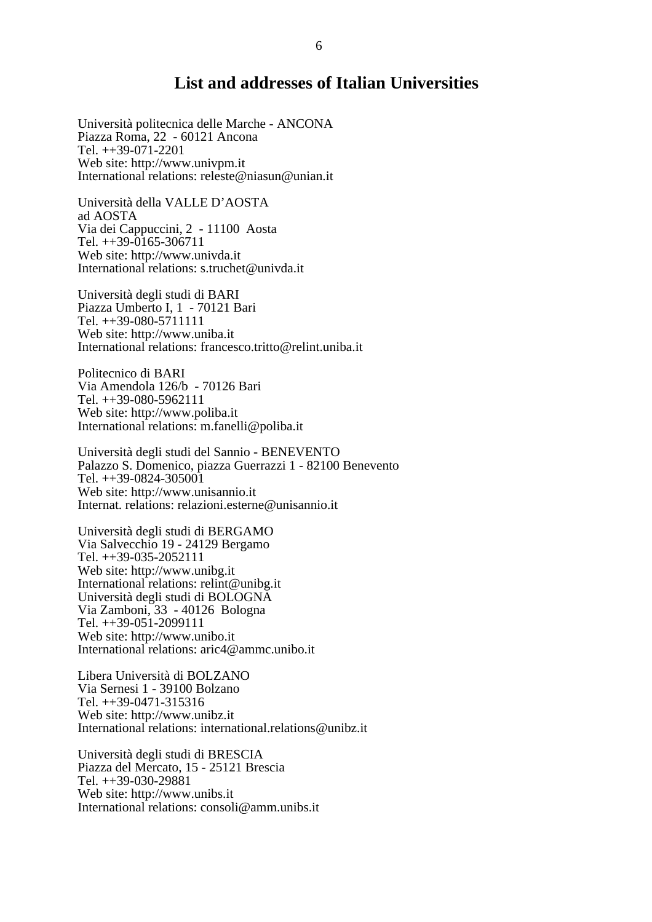# **List and addresses of Italian Universities**

Università politecnica delle Marche - ANCONA Piazza Roma, 22 - 60121 Ancona Tel. ++39-071-2201 Web site: <http://www.univpm.it> International relations: [releste@niasun@unian.it](mailto:releste@niasun@unian.it)

Università della VALLE D'AOSTA ad AOSTA Via dei Cappuccini, 2 - 11100 Aosta Tel. ++39-0165-306711 Web site: <http://www.univda.it> International relations: [s.truchet@univda.it](mailto:s.truchet@univda.it)

Università degli studi di BARI Piazza Umberto I, 1 - 70121 Bari Tel. ++39-080-5711111 Web site: <http://www.uniba.it> International relations: [francesco.tritto@relint.uniba.it](mailto:francesco.tritto@relint.uniba.it)

Politecnico di BARI Via Amendola 126/b - 70126 Bari Tel. ++39-080-5962111 Web site: <http://www.poliba.it> International relations: [m.fanelli@poliba.it](mailto:m.fanelli@poliba.it)

Università degli studi del Sannio - BENEVENTO Palazzo S. Domenico, piazza Guerrazzi 1 - 82100 Benevento Tel. ++39-0824-305001 Web site: <http://www.unisannio.it> Internat. relations: [relazioni.esterne@unisannio.it](mailto:relazioni.esterne@unisannio.it)

Università degli studi di BERGAMO Via Salvecchio 19 - 24129 Bergamo Tel. ++39-035-2052111 Web site: <http://www.unibg.it> International relations: [relint@unibg.it](mailto:relint@unibg.it) Università degli studi di BOLOGNA Via Zamboni, 33 - 40126 Bologna Tel. ++39-051-2099111 Web site: <http://www.unibo.it> International relations: [aric4@ammc.unibo.it](mailto:aric4@ammc.unibo.it)

Libera Università di BOLZANO Via Sernesi 1 - 39100 Bolzano Tel. ++39-0471-315316 Web site: <http://www.unibz.it> International relations: [international.relations@unibz.it](mailto:international.relations@unibz.it)

Università degli studi di BRESCIA Piazza del Mercato, 15 - 25121 Brescia Tel. ++39-030-29881 Web site: <http://www.unibs.it> International relations: [consoli@amm.unibs.it](mailto:consoli@amm.unibs.it)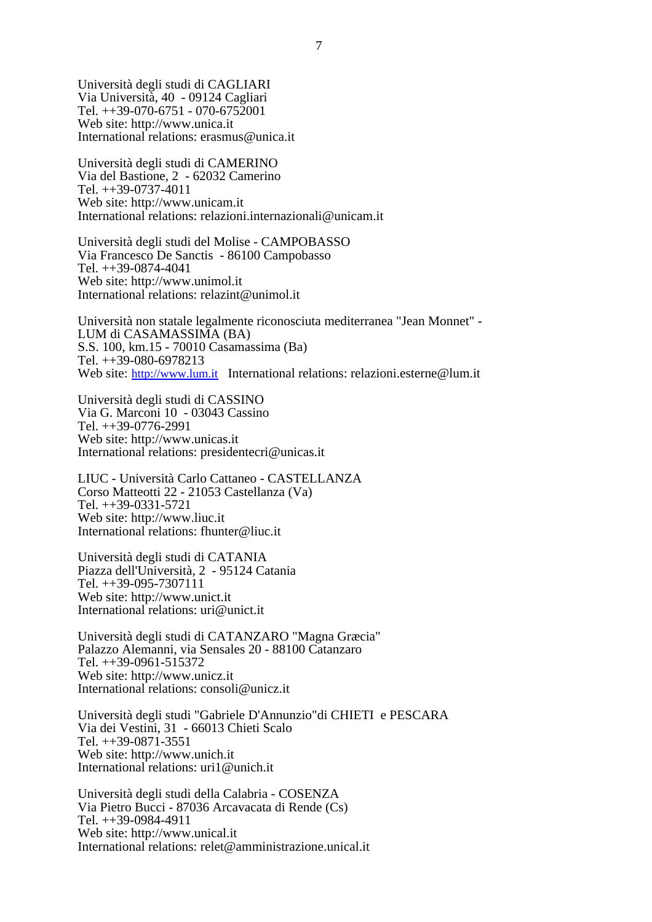Università degli studi di CAGLIARI Via Università, 40 - 09124 Cagliari Tel. ++39-070-6751 - 070-6752001 Web site: <http://www.unica.it> International relations: [erasmus@unica.it](mailto:erasmus@unica.it)

Università degli studi di CAMERINO Via del Bastione, 2 - 62032 Camerino Tel. ++39-0737-4011 Web site: <http://www.unicam.it> International relations: [relazioni.internazionali@unicam.it](mailto:relazioni.internazionali@unicam.it)

Università degli studi del Molise - CAMPOBASSO Via Francesco De Sanctis - 86100 Campobasso Tel. ++39-0874-4041 Web site: <http://www.unimol.it> International relations: [relazint@unimol.it](mailto:relazint@unimol.it)

Università non statale legalmente riconosciuta mediterranea "Jean Monnet" - LUM di CASAMASSIMA (BA) S.S. 100, km.15 - 70010 Casamassima (Ba) Tel. ++39-080-6978213 Web site: <http://www.lum.it> International relations: [relazioni.esterne@lum.it](mailto:relazioni.esterne@lum.it)

Università degli studi di CASSINO Via G. Marconi 10 - 03043 Cassino Tel. ++39-0776-2991 Web site: <http://www.unicas.it> International relations: [presidentecri@unicas.it](mailto:presidentecri@unicas.it)

LIUC - Università Carlo Cattaneo - CASTELLANZA Corso Matteotti 22 - 21053 Castellanza (Va) Tel. ++39-0331-5721 Web site: <http://www.liuc.it> International relations: [fhunter@liuc.it](mailto:fhunter@liuc.it)

Università degli studi di CATANIA Piazza dell'Università, 2 - 95124 Catania Tel. ++39-095-7307111 Web site: <http://www.unict.it> International relations: [uri@unict.it](mailto:uri@unict.it)

Università degli studi di CATANZARO "Magna Græcia" Palazzo Alemanni, via Sensales 20 - 88100 Catanzaro Tel. ++39-0961-515372 Web site: <http://www.unicz.it> International relations: [consoli@unicz.it](mailto:consoli@unicz.it)

Università degli studi "Gabriele D'Annunzio"di CHIETI e PESCARA Via dei Vestini, 31 - 66013 Chieti Scalo Tel. ++39-0871-3551 Web site: <http://www.unich.it> International relations: [uri1@unich.it](mailto:uri1@unich.it)

Università degli studi della Calabria - COSENZA Via Pietro Bucci - 87036 Arcavacata di Rende (Cs) Tel. ++39-0984-4911 Web site: <http://www.unical.it> International relations: [relet@amministrazione.unical.it](mailto:relet@amministrazione.unical.it)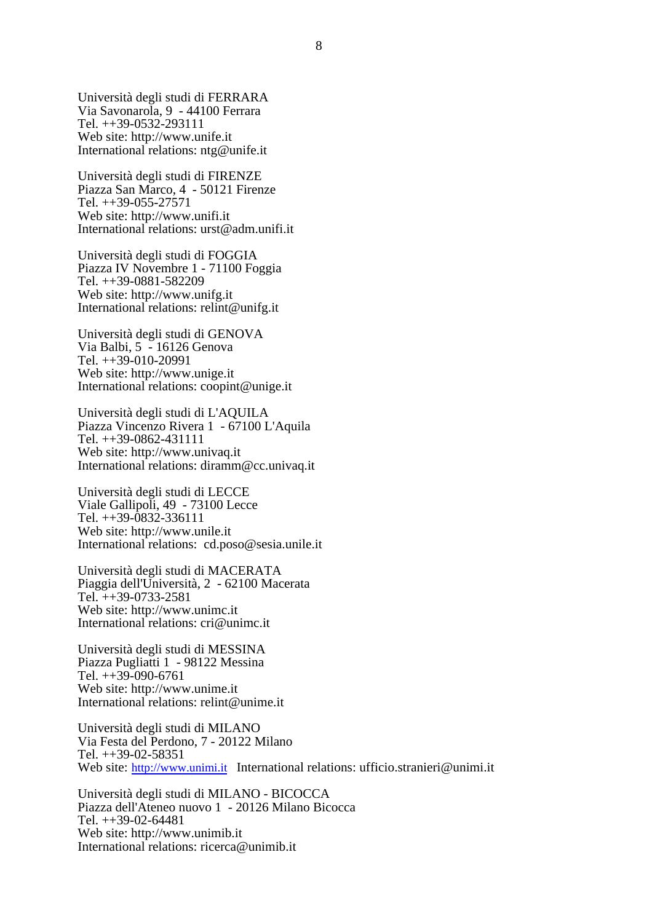Università degli studi di FERRARA Via Savonarola, 9 - 44100 Ferrara Tel. ++39-0532-293111 Web site: <http://www.unife.it> International relations: [ntg@unife.it](mailto:ntg@unife.it)

Università degli studi di FIRENZE Piazza San Marco, 4 - 50121 Firenze Tel. ++39-055-27571 Web site: <http://www.unifi.it> International relations: [urst@adm.unifi.it](mailto:urst@adm.unifi.it)

Università degli studi di FOGGIA Piazza IV Novembre 1 - 71100 Foggia Tel. ++39-0881-582209 Web site: <http://www.unifg.it> International relations: [relint@unifg.it](mailto:relint@unifg.it)

Università degli studi di GENOVA Via Balbi, 5 - 16126 Genova Tel. ++39-010-20991 Web site: <http://www.unige.it> International relations: [coopint@unige.it](mailto:coopint@unige.it)

Università degli studi di L'AQUILA Piazza Vincenzo Rivera 1 - 67100 L'Aquila Tel. ++39-0862-431111 Web site: <http://www.univaq.it> International relations: [diramm@cc.univaq.it](mailto:diramm@cc.univaq.it)

Università degli studi di LECCE Viale Gallipoli, 49 - 73100 Lecce Tel. ++39-0832-336111 Web site: <http://www.unile.it> International relations: [cd.poso@sesia.unile.it](mailto:cd.poso@sesia.unile.it)

Università degli studi di MACERATA Piaggia dell'Università, 2 - 62100 Macerata Tel. ++39-0733-2581 Web site: <http://www.unimc.it> International relations: [cri@unimc.it](mailto:cri@unimc.it)

Università degli studi di MESSINA Piazza Pugliatti 1 - 98122 Messina Tel. ++39-090-6761 Web site: <http://www.unime.it> International relations: [relint@unime.it](mailto:relint@unime.it)

Università degli studi di MILANO Via Festa del Perdono, 7 - 20122 Milano Tel. ++39-02-58351 Web site: <http://www.unimi.it> International relations: [ufficio.stranieri@unimi.it](mailto:ufficio.stranieri@unimi.it)

Università degli studi di MILANO - BICOCCA Piazza dell'Ateneo nuovo 1 - 20126 Milano Bicocca Tel. ++39-02-64481 Web site: <http://www.unimib.it> International relations: [ricerca@unimib.it](mailto:ricerca@unimib.it)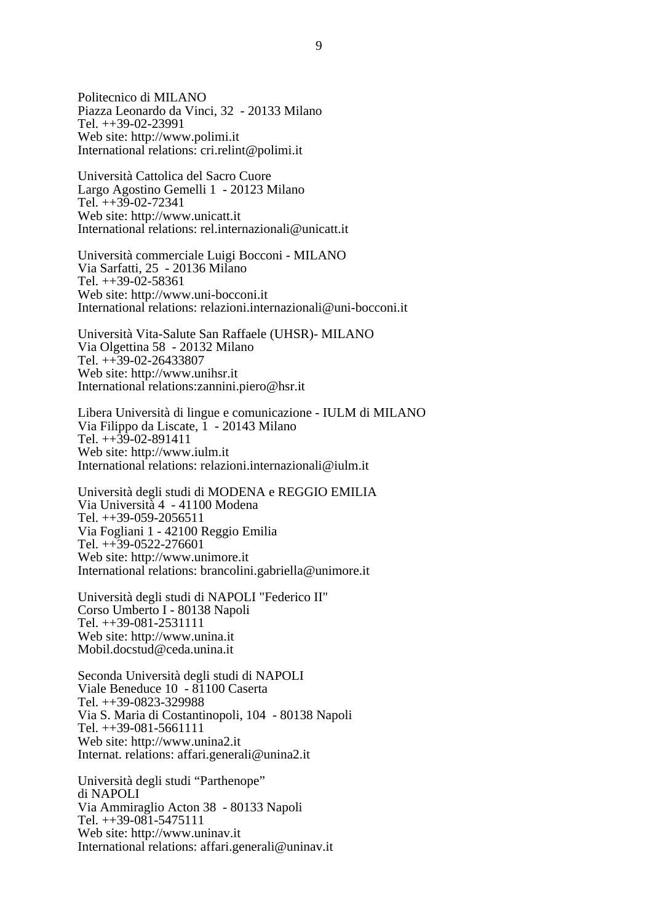Politecnico di MILANO Piazza Leonardo da Vinci, 32 - 20133 Milano Tel. ++39-02-23991 Web site: <http://www.polimi.it> International relations: [cri.relint@polimi.it](mailto:cri.relint@polimi.it)

Università Cattolica del Sacro Cuore Largo Agostino Gemelli 1 - 20123 Milano Tel. ++39-02-72341 Web site: <http://www.unicatt.it> International relations: [rel.internazionali@unicatt.it](mailto:rel.internazionali@unicatt.it)

Università commerciale Luigi Bocconi - MILANO Via Sarfatti, 25 - 20136 Milano Tel. ++39-02-58361 Web site: <http://www.uni-bocconi.it> International relations: [relazioni.internazionali@uni-bocconi.it](mailto:relazioni.internazionali@uni-bocconi.it)

Università Vita-Salute San Raffaele (UHSR)- MILANO Via Olgettina 58 - 20132 Milano Tel. ++39-02-26433807 Web site: <http://www.unihsr.it> International relations:zannini.piero@hsr.it

Libera Università di lingue e comunicazione - IULM di MILANO Via Filippo da Liscate, 1 - 20143 Milano Tel. ++39-02-891411 Web site: <http://www.iulm.it> International relations: [relazioni.internazionali@iulm.it](mailto:relazioni.internazionali@iulm.it)

Università degli studi di MODENA e REGGIO EMILIA Via Università 4 - 41100 Modena Tel. ++39-059-2056511 Via Fogliani 1 - 42100 Reggio Emilia Tel. ++39-0522-276601 Web site: <http://www.unimore.it> International relations: [brancolini.gabriella@unimore.it](mailto:brancolini.gabriella@unimore.it)

Università degli studi di NAPOLI "Federico II" Corso Umberto I - 80138 Napoli Tel. ++39-081-2531111 Web site: <http://www.unina.it> [Mobil.docstud@ceda.unina.it](mailto:Mobil.docstud@ceda.unina.it)

Seconda Università degli studi di NAPOLI Viale Beneduce 10 - 81100 Caserta Tel. ++39-0823-329988 Via S. Maria di Costantinopoli, 104 - 80138 Napoli Tel. ++39-081-5661111 Web site: <http://www.unina2.it> Internat. relations: [affari.generali@unina2.it](mailto:affari.generali@unina2.it)

Università degli studi "Parthenope" di NAPOLI Via Ammiraglio Acton 38 - 80133 Napoli Tel. ++39-081-5475111 Web site: <http://www.uninav.it> International relations: [affari.generali@uninav.it](mailto:affari.generali@uninav.it)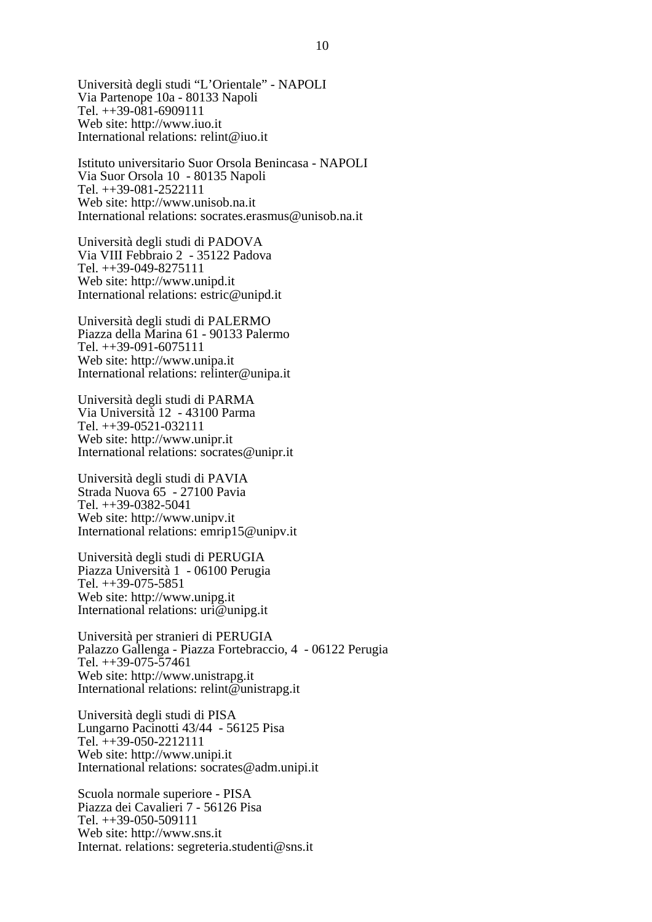Università degli studi "L'Orientale" - NAPOLI Via Partenope 10a - 80133 Napoli Tel. ++39-081-6909111 Web site: <http://www.iuo.it> International relations: [relint@iuo.it](mailto:relint@iuo.it)

Istituto universitario Suor Orsola Benincasa - NAPOLI Via Suor Orsola 10 - 80135 Napoli Tel. ++39-081-2522111 Web site: <http://www.unisob.na.it> International relations: [socrates.erasmus@unisob.na.it](mailto:socrates.erasmus@unisob.na.it)

Università degli studi di PADOVA Via VIII Febbraio 2 - 35122 Padova Tel. ++39-049-8275111 Web site: <http://www.unipd.it> International relations: [estric@unipd.it](mailto:estric@unipd.it)

Università degli studi di PALERMO Piazza della Marina 61 - 90133 Palermo Tel. ++39-091-6075111 Web site: <http://www.unipa.it> International relations: [relinter@unipa.it](mailto:relinter@unipa.it)

Università degli studi di PARMA Via Università 12 - 43100 Parma Tel. ++39-0521-032111 Web site: <http://www.unipr.it> International relations: [socrates@unipr.it](mailto:socrates@unipr.it)

Università degli studi di PAVIA Strada Nuova 65 - 27100 Pavia Tel. ++39-0382-5041 Web site: <http://www.unipv.it> International relations: [emrip15@unipv.it](mailto:emrip15@unipv.it)

Università degli studi di PERUGIA Piazza Università 1 - 06100 Perugia Tel. ++39-075-5851 Web site: <http://www.unipg.it> International relations: [uri@unipg.it](mailto:uri@unipg.it)

Università per stranieri di PERUGIA Palazzo Gallenga - Piazza Fortebraccio, 4 - 06122 Perugia Tel. ++39-075-57461 Web site: <http://www.unistrapg.it> International relations: [relint@unistrapg.it](mailto:relint@unistrapg.it)

Università degli studi di PISA Lungarno Pacinotti 43/44 - 56125 Pisa Tel. ++39-050-2212111 Web site: <http://www.unipi.it> International relations: [socrates@adm.unipi.it](mailto:socrates@adm.unipi.it)

Scuola normale superiore - PISA Piazza dei Cavalieri 7 - 56126 Pisa Tel. ++39-050-509111 Web site: <http://www.sns.it> Internat. relations: [segreteria.studenti@sns.it](mailto:segreteria.studenti@sns.it)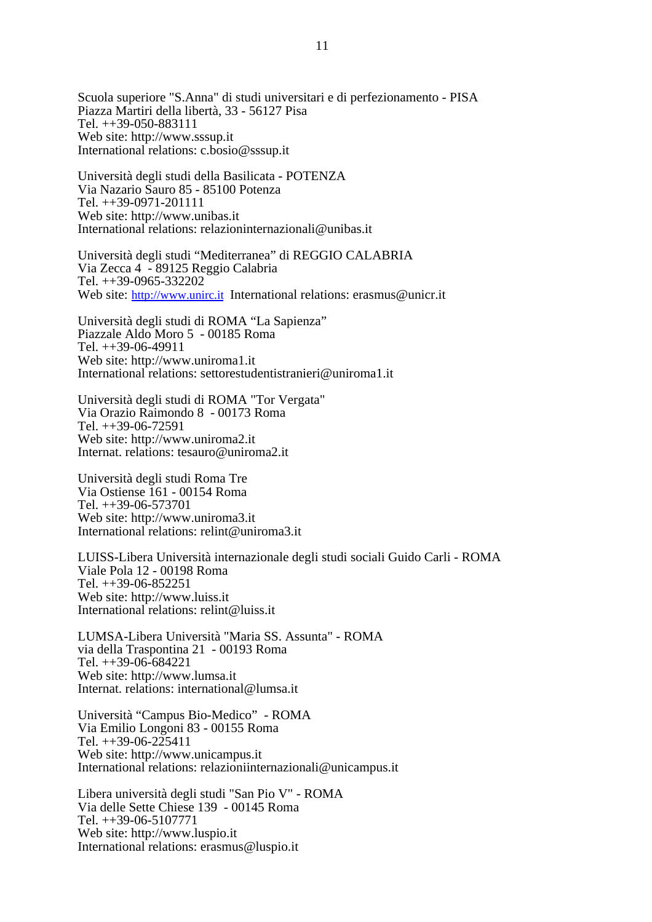Scuola superiore "S.Anna" di studi universitari e di perfezionamento - PISA Piazza Martiri della libertà, 33 - 56127 Pisa Tel. ++39-050-883111 Web site: <http://www.sssup.it> International relations: [c.bosio@sssup.it](mailto:c.bosio@sssup.it)

Università degli studi della Basilicata - POTENZA Via Nazario Sauro 85 - 85100 Potenza Tel. ++39-0971-201111 Web site: <http://www.unibas.it> International relations: [relazioninternazionali@unibas.it](mailto:relazioninternazionali@unibas.it)

Università degli studi "Mediterranea" di REGGIO CALABRIA Via Zecca 4 - 89125 Reggio Calabria Tel. ++39-0965-332202 Web site: <http://www.unirc.it> International relations: [erasmus@unicr.it](mailto:erasmus@unicr.it)

Università degli studi di ROMA "La Sapienza" Piazzale Aldo Moro 5 - 00185 Roma Tel. ++39-06-49911 Web site: <http://www.uniroma1.it> International relations: [settorestudentistranieri@uniroma1.it](mailto:settorestudentistranieri@uniroma1.it)

Università degli studi di ROMA "Tor Vergata" Via Orazio Raimondo 8 - 00173 Roma Tel. ++39-06-72591 Web site: <http://www.uniroma2.it> Internat. relations: [tesauro@uniroma2.it](mailto:tesauro@uniroma2.it)

Università degli studi Roma Tre Via Ostiense 161 - 00154 Roma Tel. ++39-06-573701 Web site: <http://www.uniroma3.it> International relations: [relint@uniroma3.it](mailto:relint@uniroma3.it)

LUISS-Libera Università internazionale degli studi sociali Guido Carli - ROMA Viale Pola 12 - 00198 Roma Tel. ++39-06-852251 Web site: <http://www.luiss.it> International relations: [relint@luiss.it](mailto:relint@luiss.it)

LUMSA-Libera Università "Maria SS. Assunta" - ROMA via della Traspontina 21 - 00193 Roma Tel. ++39-06-684221 Web site: <http://www.lumsa.it> Internat. relations: [international@lumsa.it](mailto:international@lumsa.it)

Università "Campus Bio-Medico" - ROMA Via Emilio Longoni 83 - 00155 Roma Tel.  $++39-06-225411$ Web site: <http://www.unicampus.it> International relations: [relazioniinternazionali@unicampus.it](mailto:relazioniinternazionali@unicampus.it)

Libera università degli studi "San Pio V" - ROMA Via delle Sette Chiese 139 - 00145 Roma Tel. ++39-06-5107771 Web site: <http://www.luspio.it> International relations: [erasmus@luspio.it](mailto:erasmus@luspio.it)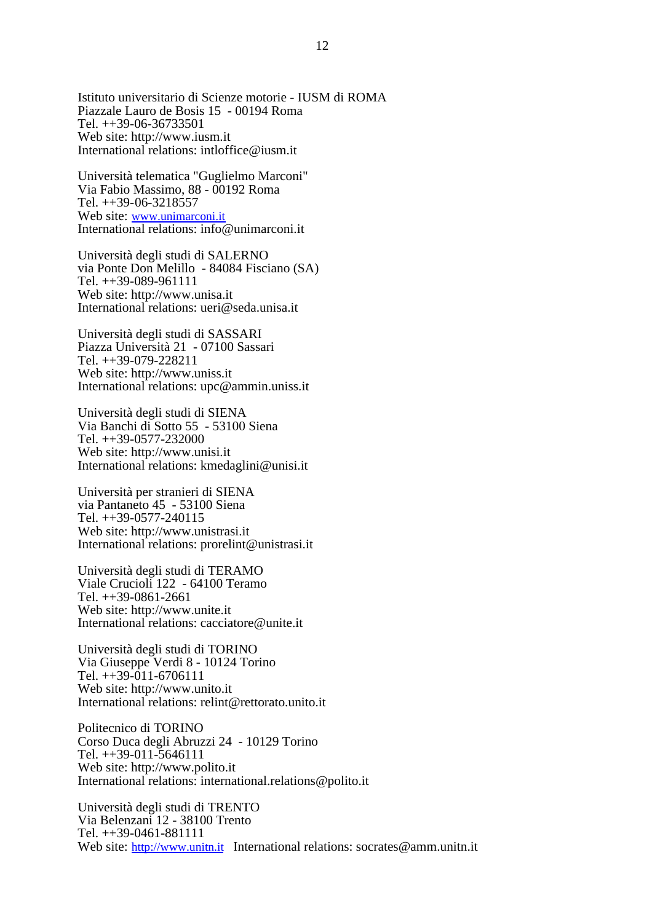Istituto universitario di Scienze motorie - IUSM di ROMA Piazzale Lauro de Bosis 15 - 00194 Roma Tel. ++39-06-36733501 Web site: <http://www.iusm.it> International relations: [intloffice@iusm.it](mailto:intloffice@iusm.it)

Università telematica "Guglielmo Marconi" Via Fabio Massimo, 88 - 00192 Roma Tel. ++39-06-3218557 Web site: www.unimarconi.it International relations: [info@unimarconi.it](mailto:info@unimarconi.it)

Università degli studi di SALERNO via Ponte Don Melillo - 84084 Fisciano (SA) Tel. ++39-089-961111 Web site: <http://www.unisa.it> International relations: [ueri@seda.unisa.it](mailto:ueri@seda.unisa.it)

Università degli studi di SASSARI Piazza Università 21 - 07100 Sassari Tel. ++39-079-228211 Web site: <http://www.uniss.it> International relations: [upc@ammin.uniss.it](mailto:upc@ammin.uniss.it)

Università degli studi di SIENA Via Banchi di Sotto 55 - 53100 Siena Tel. ++39-0577-232000 Web site: <http://www.unisi.it> International relations: [kmedaglini@unisi.it](mailto:kmedaglini@unisi.it)

Università per stranieri di SIENA via Pantaneto 45 - 53100 Siena Tel. ++39-0577-240115 Web site: <http://www.unistrasi.it> International relations: [prorelint@unistrasi.it](mailto:prorelint@unistrasi.it)

Università degli studi di TERAMO Viale Crucioli 122 - 64100 Teramo Tel. ++39-0861-2661 Web site: <http://www.unite.it> International relations: [cacciatore@unite.it](mailto:cacciatore@unite.it)

Università degli studi di TORINO Via Giuseppe Verdi 8 - 10124 Torino Tel.  $+39-011-6706111$ Web site: <http://www.unito.it> International relations: [relint@rettorato.unito.it](mailto:relint@rettorato.unito.it)

Politecnico di TORINO Corso Duca degli Abruzzi 24 - 10129 Torino Tel. ++39-011-5646111 Web site: <http://www.polito.it> International relations: [international.relations@polito.it](mailto:international.relations@polito.it)

Università degli studi di TRENTO Via Belenzani 12 - 38100 Trento Tel. ++39-0461-881111 Web site: <http://www.unitn.it> International relations: [socrates@amm.unitn.it](mailto:socrates@amm.unitn.it)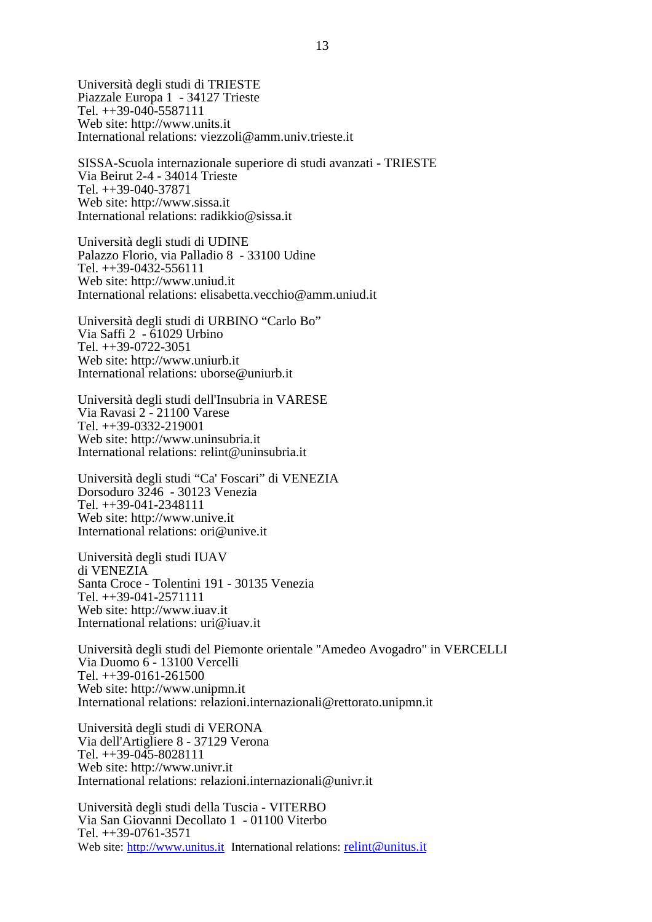Università degli studi di TRIESTE Piazzale Europa 1 - 34127 Trieste Tel. ++39-040-5587111 Web site: <http://www.units.it> International relations: [viezzoli@amm.univ.trieste.it](mailto:viezzoli@amm.univ.trieste.it)

SISSA-Scuola internazionale superiore di studi avanzati - TRIESTE Via Beirut 2-4 - 34014 Trieste Tel. ++39-040-37871 Web site: <http://www.sissa.it> International relations: [radikkio@sissa.it](mailto:radikkio@sissa.it)

Università degli studi di UDINE Palazzo Florio, via Palladio 8 - 33100 Udine Tel. ++39-0432-556111 Web site: <http://www.uniud.it> International relations: [elisabetta.vecchio@amm.uniud.it](mailto:elisabetta.vecchio@amm.uniud.it)

Università degli studi di URBINO "Carlo Bo" Via Saffi 2 - 61029 Urbino Tel. ++39-0722-3051 Web site: <http://www.uniurb.it> International relations: [uborse@uniurb.it](mailto:uborse@uniurb.it)

Università degli studi dell'Insubria in VARESE Via Ravasi 2 - 21100 Varese Tel. ++39-0332-219001 Web site: <http://www.uninsubria.it> International relations: [relint@uninsubria.it](mailto:relint@uninsubria.it)

Università degli studi "Ca' Foscari" di VENEZIA Dorsoduro 3246 - 30123 Venezia Tel. ++39-041-2348111 Web site: <http://www.unive.it> International relations: [ori@unive.it](mailto:ori@unive.it)

Università degli studi IUAV di VENEZIA Santa Croce - Tolentini 191 - 30135 Venezia Tel. ++39-041-2571111 Web site: <http://www.iuav.it> International relations: [uri@iuav.it](mailto:uri@iuav.it)

Università degli studi del Piemonte orientale "Amedeo Avogadro" in VERCELLI Via Duomo 6 - 13100 Vercelli Tel. ++39-0161-261500 Web site: <http://www.unipmn.it> International relations: [relazioni.internazionali@rettorato.unipmn.it](mailto:relazioni.internazionali@rettorato.unipmn.it)

Università degli studi di VERONA Via dell'Artigliere 8 - 37129 Verona Tel. ++39-045-8028111 Web site: <http://www.univr.it> International relations: [relazioni.internazionali@univr.it](mailto:relazioni.internazionali@univr.it)

Università degli studi della Tuscia - VITERBO Via San Giovanni Decollato 1 - 01100 Viterbo Tel. ++39-0761-3571 Web site: <http://www.unitus.it> International relations: [relint@unitus.it](mailto:relint@unitus.it)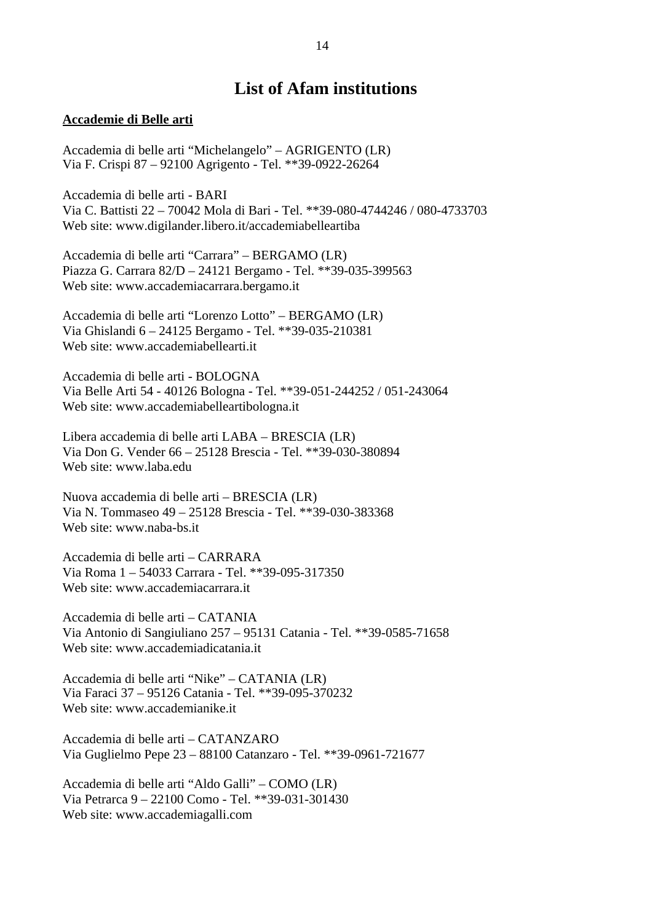# **List of Afam institutions**

#### **Accademie di Belle arti**

Accademia di belle arti "Michelangelo" – AGRIGENTO (LR) Via F. Crispi 87 – 92100 Agrigento - Tel. \*\*39-0922-26264

Accademia di belle arti - BARI Via C. Battisti 22 – 70042 Mola di Bari - Tel. \*\*39-080-4744246 / 080-4733703 Web site: www.digilander.libero.it/accademiabelleartiba

Accademia di belle arti "Carrara" – BERGAMO (LR) Piazza G. Carrara 82/D – 24121 Bergamo - Tel. \*\*39-035-399563 Web site: www.accademiacarrara.bergamo.it

Accademia di belle arti "Lorenzo Lotto" – BERGAMO (LR) Via Ghislandi 6 – 24125 Bergamo - Tel. \*\*39-035-210381 Web site: www.accademiabellearti.it

Accademia di belle arti - BOLOGNA Via Belle Arti 54 - 40126 Bologna - Tel. \*\*39-051-244252 / 051-243064 Web site: www.accademiabelleartibologna.it

Libera accademia di belle arti LABA – BRESCIA (LR) Via Don G. Vender 66 – 25128 Brescia - Tel. \*\*39-030-380894 Web site: www.laba.edu

Nuova accademia di belle arti – BRESCIA (LR) Via N. Tommaseo 49 – 25128 Brescia - Tel. \*\*39-030-383368 Web site: www.naba-bs.it

Accademia di belle arti – CARRARA Via Roma 1 – 54033 Carrara - Tel. \*\*39-095-317350 Web site: www.accademiacarrara.it

Accademia di belle arti – CATANIA Via Antonio di Sangiuliano 257 – 95131 Catania - Tel. \*\*39-0585-71658 Web site: www.accademiadicatania.it

Accademia di belle arti "Nike" – CATANIA (LR) Via Faraci 37 – 95126 Catania - Tel. \*\*39-095-370232 Web site: www.accademianike.it

Accademia di belle arti – CATANZARO Via Guglielmo Pepe 23 – 88100 Catanzaro - Tel. \*\*39-0961-721677

Accademia di belle arti "Aldo Galli" – COMO (LR) Via Petrarca 9 – 22100 Como - Tel. \*\*39-031-301430 Web site: www.accademiagalli.com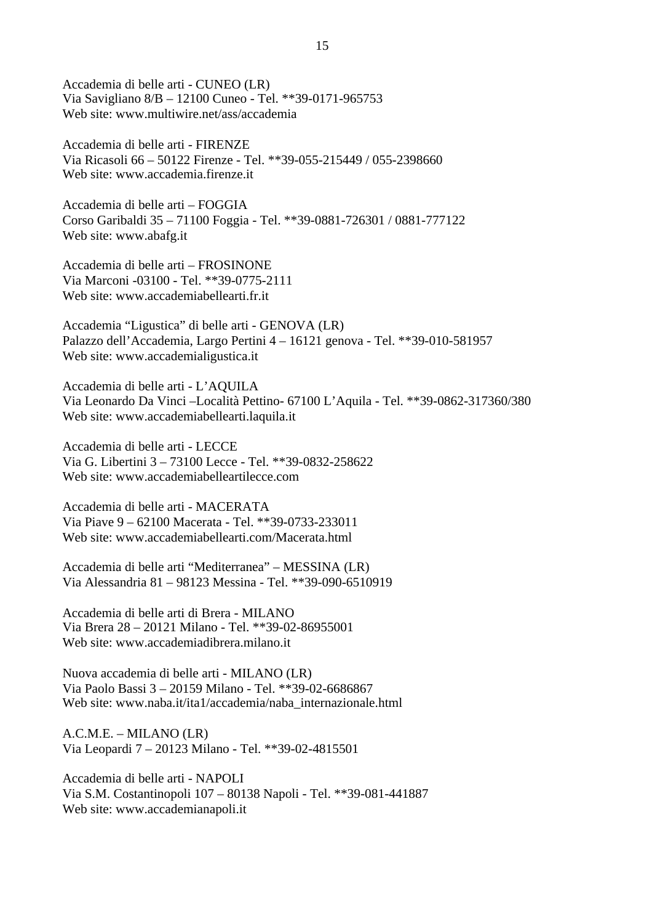Accademia di belle arti - CUNEO (LR) Via Savigliano 8/B – 12100 Cuneo - Tel. \*\*39-0171-965753 Web site: www.multiwire.net/ass/accademia

Accademia di belle arti - FIRENZE Via Ricasoli 66 – 50122 Firenze - Tel. \*\*39-055-215449 / 055-2398660 Web site: www.accademia.firenze.it

Accademia di belle arti – FOGGIA Corso Garibaldi 35 – 71100 Foggia - Tel. \*\*39-0881-726301 / 0881-777122 Web site: www.abafg.it

Accademia di belle arti – FROSINONE Via Marconi -03100 - Tel. \*\*39-0775-2111 Web site: www.accademiabellearti.fr.it

Accademia "Ligustica" di belle arti - GENOVA (LR) Palazzo dell'Accademia, Largo Pertini 4 – 16121 genova - Tel. \*\*39-010-581957 Web site: www.accademialigustica.it

Accademia di belle arti - L'AQUILA Via Leonardo Da Vinci –Località Pettino- 67100 L'Aquila - Tel. \*\*39-0862-317360/380 Web site: www.accademiabellearti.laquila.it

Accademia di belle arti - LECCE Via G. Libertini 3 – 73100 Lecce - Tel. \*\*39-0832-258622 Web site: www.accademiabelleartilecce.com

Accademia di belle arti - MACERATA Via Piave 9 – 62100 Macerata - Tel. \*\*39-0733-233011 Web site: www.accademiabellearti.com/Macerata.html

Accademia di belle arti "Mediterranea" – MESSINA (LR) Via Alessandria 81 – 98123 Messina - Tel. \*\*39-090-6510919

Accademia di belle arti di Brera - MILANO Via Brera 28 – 20121 Milano - Tel. \*\*39-02-86955001 Web site: www.accademiadibrera.milano.it

Nuova accademia di belle arti - MILANO (LR) Via Paolo Bassi 3 – 20159 Milano - Tel. \*\*39-02-6686867 Web site: www.naba.it/ita1/accademia/naba\_internazionale.html

A.C.M.E. – MILANO (LR) Via Leopardi 7 – 20123 Milano - Tel. \*\*39-02-4815501

Accademia di belle arti - NAPOLI Via S.M. Costantinopoli 107 – 80138 Napoli - Tel. \*\*39-081-441887 Web site: www.accademianapoli.it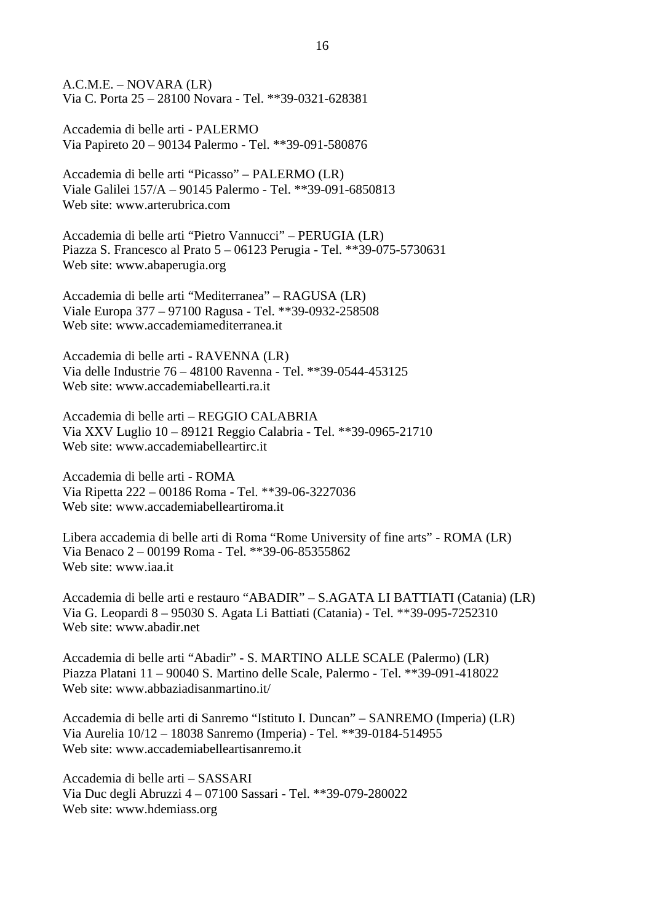A.C.M.E. – NOVARA (LR) Via C. Porta 25 – 28100 Novara - Tel. \*\*39-0321-628381

Accademia di belle arti - PALERMO Via Papireto 20 – 90134 Palermo - Tel. \*\*39-091-580876

Accademia di belle arti "Picasso" – PALERMO (LR) Viale Galilei 157/A – 90145 Palermo - Tel. \*\*39-091-6850813 Web site: www.arterubrica.com

Accademia di belle arti "Pietro Vannucci" – PERUGIA (LR) Piazza S. Francesco al Prato 5 – 06123 Perugia - Tel. \*\*39-075-5730631 Web site: www.abaperugia.org

Accademia di belle arti "Mediterranea" – RAGUSA (LR) Viale Europa 377 – 97100 Ragusa - Tel. \*\*39-0932-258508 Web site: www.accademiamediterranea.it

Accademia di belle arti - RAVENNA (LR) Via delle Industrie 76 – 48100 Ravenna - Tel. \*\*39-0544-453125 Web site: www.accademiabellearti.ra.it

Accademia di belle arti – REGGIO CALABRIA Via XXV Luglio 10 – 89121 Reggio Calabria - Tel. \*\*39-0965-21710 Web site: www.accademiabelleartirc.it

Accademia di belle arti - ROMA Via Ripetta 222 – 00186 Roma - Tel. \*\*39-06-3227036 Web site: www.accademiabelleartiroma.it

Libera accademia di belle arti di Roma "Rome University of fine arts" - ROMA (LR) Via Benaco 2 – 00199 Roma - Tel. \*\*39-06-85355862 Web site: www.iaa.it

Accademia di belle arti e restauro "ABADIR" – S.AGATA LI BATTIATI (Catania) (LR) Via G. Leopardi 8 – 95030 S. Agata Li Battiati (Catania) - Tel. \*\*39-095-7252310 Web site: www.abadir.net

Accademia di belle arti "Abadir" - S. MARTINO ALLE SCALE (Palermo) (LR) Piazza Platani 11 – 90040 S. Martino delle Scale, Palermo - Tel. \*\*39-091-418022 Web site: www.abbaziadisanmartino.it/

Accademia di belle arti di Sanremo "Istituto I. Duncan" – SANREMO (Imperia) (LR) Via Aurelia 10/12 – 18038 Sanremo (Imperia) - Tel. \*\*39-0184-514955 Web site: www.accademiabelleartisanremo.it

Accademia di belle arti – SASSARI Via Duc degli Abruzzi 4 – 07100 Sassari - Tel. \*\*39-079-280022 Web site: www.hdemiass.org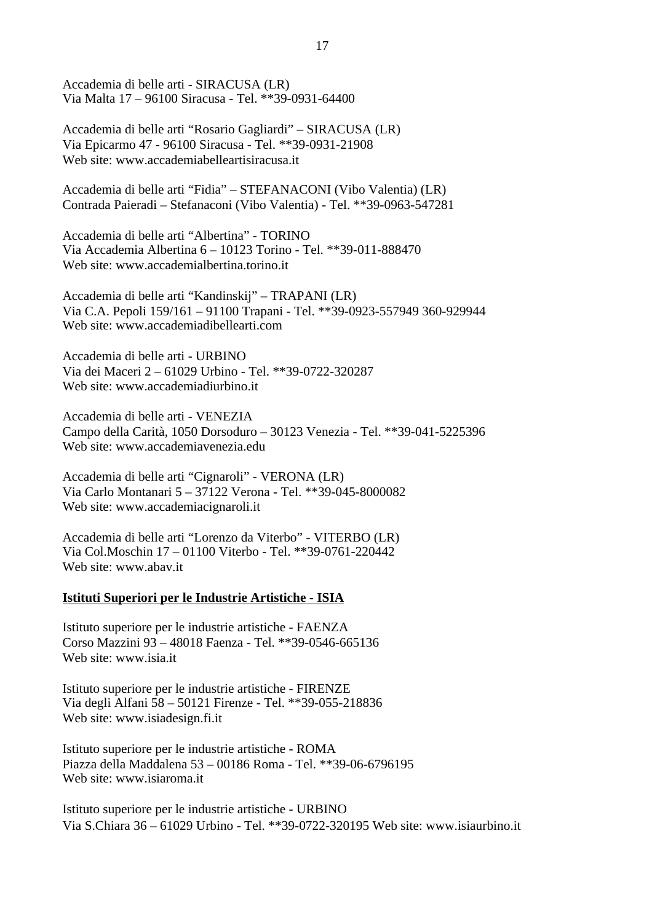Accademia di belle arti - SIRACUSA (LR) Via Malta 17 – 96100 Siracusa - Tel. \*\*39-0931-64400

Accademia di belle arti "Rosario Gagliardi" – SIRACUSA (LR) Via Epicarmo 47 - 96100 Siracusa - Tel. \*\*39-0931-21908 Web site: www.accademiabelleartisiracusa.it

Accademia di belle arti "Fidia" – STEFANACONI (Vibo Valentia) (LR) Contrada Paieradi – Stefanaconi (Vibo Valentia) - Tel. \*\*39-0963-547281

Accademia di belle arti "Albertina" - TORINO Via Accademia Albertina 6 – 10123 Torino - Tel. \*\*39-011-888470 Web site: www.accademialbertina.torino.it

Accademia di belle arti "Kandinskij" – TRAPANI (LR) Via C.A. Pepoli 159/161 – 91100 Trapani - Tel. \*\*39-0923-557949 360-929944 Web site: www.accademiadibellearti.com

Accademia di belle arti - URBINO Via dei Maceri 2 – 61029 Urbino - Tel. \*\*39-0722-320287 Web site: www.accademiadiurbino.it

Accademia di belle arti - VENEZIA Campo della Carità, 1050 Dorsoduro – 30123 Venezia - Tel. \*\*39-041-5225396 Web site: www.accademiavenezia.edu

Accademia di belle arti "Cignaroli" - VERONA (LR) Via Carlo Montanari 5 – 37122 Verona - Tel. \*\*39-045-8000082 Web site: www.accademiacignaroli.it

Accademia di belle arti "Lorenzo da Viterbo" - VITERBO (LR) Via Col.Moschin 17 – 01100 Viterbo - Tel. \*\*39-0761-220442 Web site: www.abav.it

#### **Istituti Superiori per le Industrie Artistiche - ISIA**

Istituto superiore per le industrie artistiche - FAENZA Corso Mazzini 93 – 48018 Faenza - Tel. \*\*39-0546-665136 Web site: www.isia.it

Istituto superiore per le industrie artistiche - FIRENZE Via degli Alfani 58 – 50121 Firenze - Tel. \*\*39-055-218836 Web site: www.isiadesign.fi.it

Istituto superiore per le industrie artistiche - ROMA Piazza della Maddalena 53 – 00186 Roma - Tel. \*\*39-06-6796195 Web site: www.isiaroma.it

Istituto superiore per le industrie artistiche - URBINO Via S.Chiara 36 – 61029 Urbino - Tel. \*\*39-0722-320195 Web site: www.isiaurbino.it